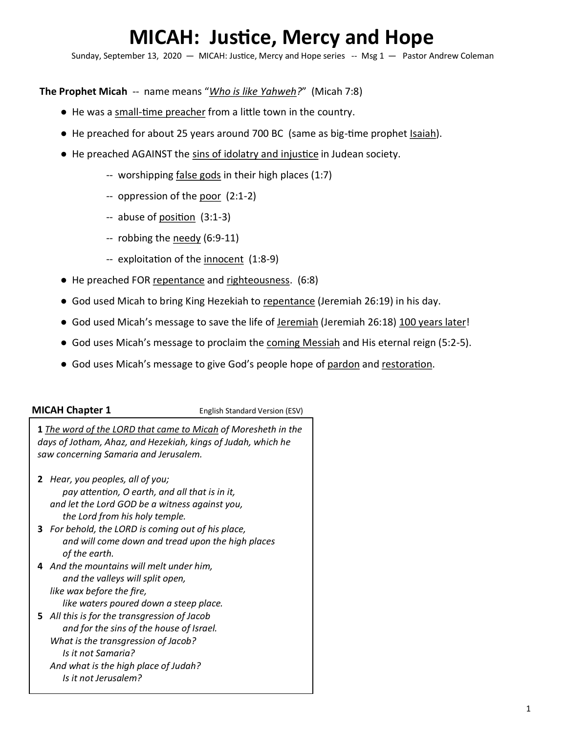# **MICAH: Justice, Mercy and Hope**

Sunday, September 13, 2020 - MICAH: Justice, Mercy and Hope series -- Msg 1 - Pastor Andrew Coleman

**The Prophet Micah** -- name means "*Who is like Yahweh?*" (Micah 7:8)

- He was a small-time preacher from a little town in the country.
- He preached for about 25 years around 700 BC (same as big-time prophet Isaiah).
- He preached AGAINST the sins of idolatry and injustice in Judean society.
	- -- worshipping false gods in their high places (1:7)
	- -- oppression of the poor (2:1-2)
	- -- abuse of position (3:1-3)
	- -- robbing the needy (6:9-11)
	- -- exploitation of the innocent (1:8-9)
- He preached FOR repentance and righteousness. (6:8)
- God used Micah to bring King Hezekiah to repentance (Jeremiah 26:19) in his day.
- God used Micah's message to save the life of Jeremiah (Jeremiah 26:18) 100 years later!
- God uses Micah's message to proclaim the coming Messiah and His eternal reign (5:2-5).
- God uses Micah's message to give God's people hope of pardon and restoration.

**MICAH Chapter 1 English Standard Version (ESV)** 

**1** *The word of the LORD that came to Micah of Moresheth in the days of Jotham, Ahaz, and Hezekiah, kings of Judah, which he saw concerning Samaria and Jerusalem.*

- **2** *Hear, you peoples, all of you; pay attention, O earth, and all that is in it, and let the Lord GOD be a witness against you, the Lord from his holy temple.*
- **3** *For behold, the LORD is coming out of his place, and will come down and tread upon the high places of the earth.*
- **4** *And the mountains will melt under him, and the valleys will split open, like wax before the fire, like waters poured down a steep place.*
- **5** *All this is for the transgression of Jacob and for the sins of the house of Israel. What is the transgression of Jacob? Is it not Samaria? And what is the high place of Judah? Is it not Jerusalem?*